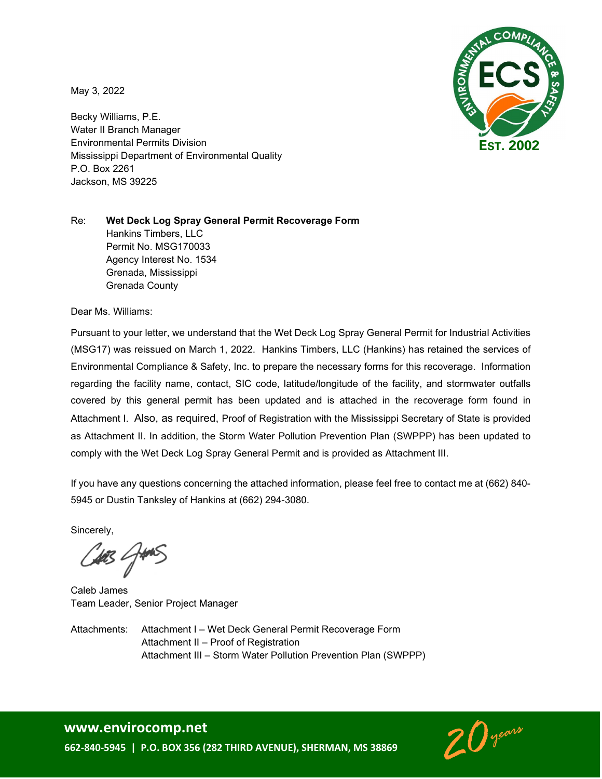May 3, 2022

Becky Williams, P.E. Water II Branch Manager Environmental Permits Division Mississippi Department of Environmental Quality P.O. Box 2261 Jackson, MS 39225



#### Re: **Wet Deck Log Spray General Permit Recoverage Form** Hankins Timbers, LLC Permit No. MSG170033 Agency Interest No. 1534 Grenada, Mississippi Grenada County

Dear Ms. Williams:

Pursuant to your letter, we understand that the Wet Deck Log Spray General Permit for Industrial Activities (MSG17) was reissued on March 1, 2022. Hankins Timbers, LLC (Hankins) has retained the services of Environmental Compliance & Safety, Inc. to prepare the necessary forms for this recoverage. Information regarding the facility name, contact, SIC code, latitude/longitude of the facility, and stormwater outfalls covered by this general permit has been updated and is attached in the recoverage form found in Attachment I. Also, as required, Proof of Registration with the Mississippi Secretary of State is provided as Attachment II. In addition, the Storm Water Pollution Prevention Plan (SWPPP) has been updated to comply with the Wet Deck Log Spray General Permit and is provided as Attachment III.

If you have any questions concerning the attached information, please feel free to contact me at (662) 840- 5945 or Dustin Tanksley of Hankins at (662) 294-3080.

Sincerely,

423 GMNS

Caleb James Team Leader, Senior Project Manager

Attachments: Attachment I – Wet Deck General Permit Recoverage Form Attachment II – Proof of Registration Attachment III – Storm Water Pollution Prevention Plan (SWPPP)



### **www.envirocomp.net**

**662-840-5945 | P.O. BOX 356 (282 THIRD AVENUE), SHERMAN, MS 38869**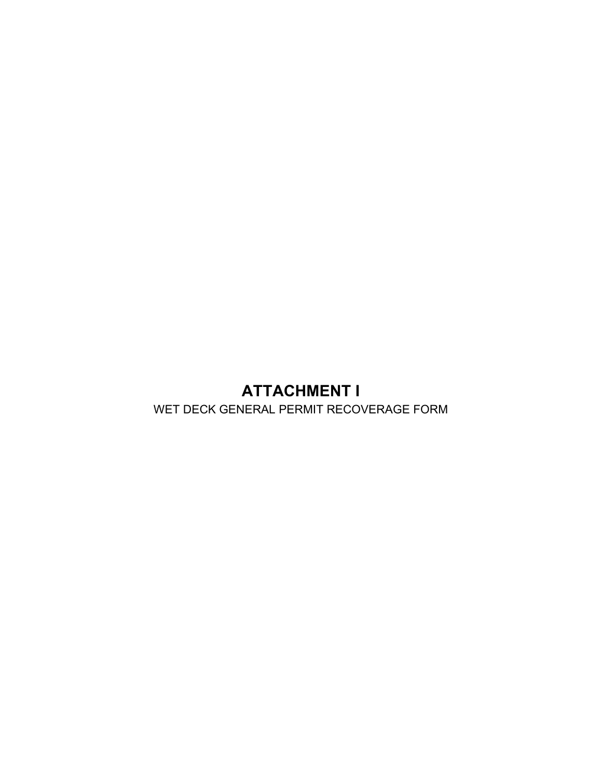# **ATTACHMENT I**

WET DECK GENERAL PERMIT RECOVERAGE FORM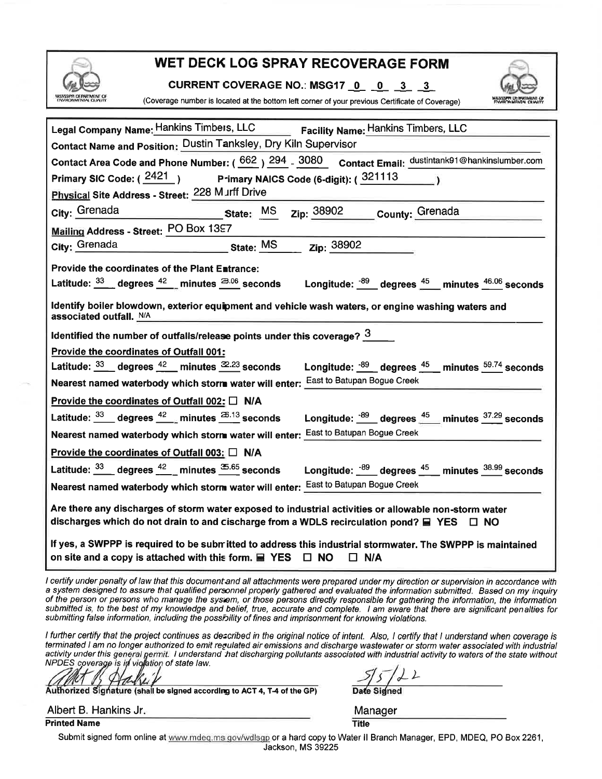|  |  | <b>IPPLOEDARIMENT OF</b> |  |
|--|--|--------------------------|--|

## WET DECK LOG SPRAY RECOVERAGE FORM

CURRENT COVERAGE NO.: MSG17 0 0 3 3



(Coverage number is located at the bottom left corner of your previous Certificate of Coverage)

| Legal Company Name: Hankins Timbers, LLC Facility Name: Hankins Timbers, LLC                                                                                                                                         |  |  |  |  |  |  |  |
|----------------------------------------------------------------------------------------------------------------------------------------------------------------------------------------------------------------------|--|--|--|--|--|--|--|
| Contact Name and Position: Dustin Tanksley, Dry Kiln Supervisor                                                                                                                                                      |  |  |  |  |  |  |  |
| Contact Area Code and Phone Number: (662) 294 - 3080 Contact Email: dustintank91@hankinslumber.com                                                                                                                   |  |  |  |  |  |  |  |
| Primary SIC Code: $(\frac{2421}{})$ P-imary NAICS Code (6-digit): $(\frac{321113}{})$                                                                                                                                |  |  |  |  |  |  |  |
| Physical Site Address - Street: 228 Murff Drive                                                                                                                                                                      |  |  |  |  |  |  |  |
| State: MS zip: 38902 County: Grenada<br>City: Grenada                                                                                                                                                                |  |  |  |  |  |  |  |
| <b>Mailing Address - Street: PO Box 1397</b>                                                                                                                                                                         |  |  |  |  |  |  |  |
| <u>State: MS zip: 38902</u><br>City: Grenada                                                                                                                                                                         |  |  |  |  |  |  |  |
| Provide the coordinates of the Plant E∎trance:                                                                                                                                                                       |  |  |  |  |  |  |  |
|                                                                                                                                                                                                                      |  |  |  |  |  |  |  |
| Latitude: 33 degrees 42 minutes 3.06 seconds Longitude: $\frac{.89}{.}$ degrees $\frac{45}{.}$ minutes $\frac{46.06}{.}$ seconds                                                                                     |  |  |  |  |  |  |  |
| Identify boiler blowdown, exterior equipment and vehicle wash waters, or engine washing waters and                                                                                                                   |  |  |  |  |  |  |  |
| associated outfall. N/A                                                                                                                                                                                              |  |  |  |  |  |  |  |
| Identified the number of outfalls/release points under this coverage? $\frac{3}{2}$                                                                                                                                  |  |  |  |  |  |  |  |
| <b>Provide the coordinates of Outfall 001:</b>                                                                                                                                                                       |  |  |  |  |  |  |  |
| Latitude: $\frac{33}{ }$ degrees $\frac{42}{ }$ minutes $\frac{32.23}{ }$ seconds<br>Longitude: $\frac{.89}{.}$ degrees $\frac{.45}{.}$ minutes $\frac{.59.74}{.}$ seconds                                           |  |  |  |  |  |  |  |
| Nearest named waterbody which storm water will enter: East to Batupan Bogue Creek                                                                                                                                    |  |  |  |  |  |  |  |
| Provide the coordinates of Outfall 002: $\square$ N/A                                                                                                                                                                |  |  |  |  |  |  |  |
| Latitude: $\frac{33}{ }$ degrees $\frac{42}{ }$ minutes $\frac{25.13}{ }$ seconds<br>Longitude: $\frac{.89}{.}$ degrees $\frac{.45}{.}$ minutes $\frac{.37.29}{.}$ seconds                                           |  |  |  |  |  |  |  |
| Nearest named waterbody which storm water will enter: East to Batupan Bogue Creek                                                                                                                                    |  |  |  |  |  |  |  |
| Provide the coordinates of Outfall 003: $\Box$ N/A                                                                                                                                                                   |  |  |  |  |  |  |  |
| Latitude: 33 degrees 42 minutes 5.65 seconds Longitude: $\frac{.69}{.}$ degrees $\frac{45}{.}$ minutes $\frac{38.99}{.}$ seconds                                                                                     |  |  |  |  |  |  |  |
| Nearest named waterbody which storm water will enter: <b>East to Batupan Bogue Creek</b>                                                                                                                             |  |  |  |  |  |  |  |
| Are there any discharges of storm water exposed to industrial activities or allowable non-storm water<br>discharges which do not drain to and cischarge from a WDLS recirculation pond? $\blacksquare$ YES $\Box$ NO |  |  |  |  |  |  |  |
| If yes, a SWPPP is required to be submitted to address this industrial stormwater. The SWPPP is maintained<br>on site and a copy is attached with this form. $\blacksquare$ YES $\Box$ NO<br>$\Box$ N/A              |  |  |  |  |  |  |  |

I certify under penalty of law that this document and all attachments were prepared under my direction or supervision in accordance with a system designed to assure that qualified personnel properly gathered and evaluated the information submitted. Based on my inquiry of the person or persons who manage the system, or those persons directly responsible for gathering the information, the information submitted is, to the best of my knowledge and belief, true, accurate and complete. I am aware that there are significant penalties for submitting false information, including the possibility of fines and imprisonment for knowing violations.

I further certify that the project continues as described in the original notice of intent. Also, I certify that I understand when coverage is terminated I am no longer authorized to emit regulated air emissions and discharge wastewater or storm water associated with industrial activity under this general permit. I understand that discharging pollutants associated with industrial activity to waters of the state without<br>NPDES coverage is in vightion of state law.

Authorized Signature (shall be signed according to ACT 4, T-4 of the GP)

 $\frac{5}{5}$   $\frac{2}{2}$ <br>Date Signed

Albert B. Hankins Jr.

**Printed Name** 

Manager **Title** 

Submit signed form online at www.mdeq.ms.gov/wdlsgp or a hard copy to Water II Branch Manager, EPD, MDEQ, PO Box 2261, Jackson, MS 39225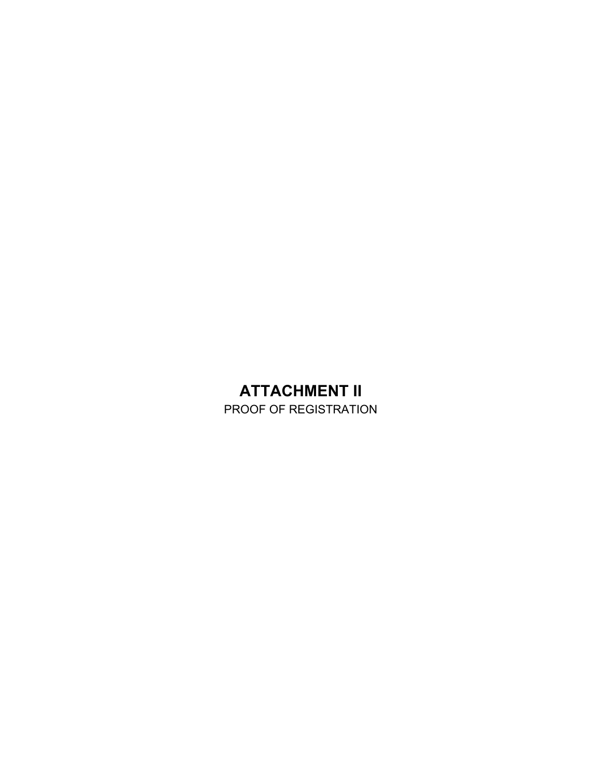# **ATTACHMENT II**

PROOF OF REGISTRATION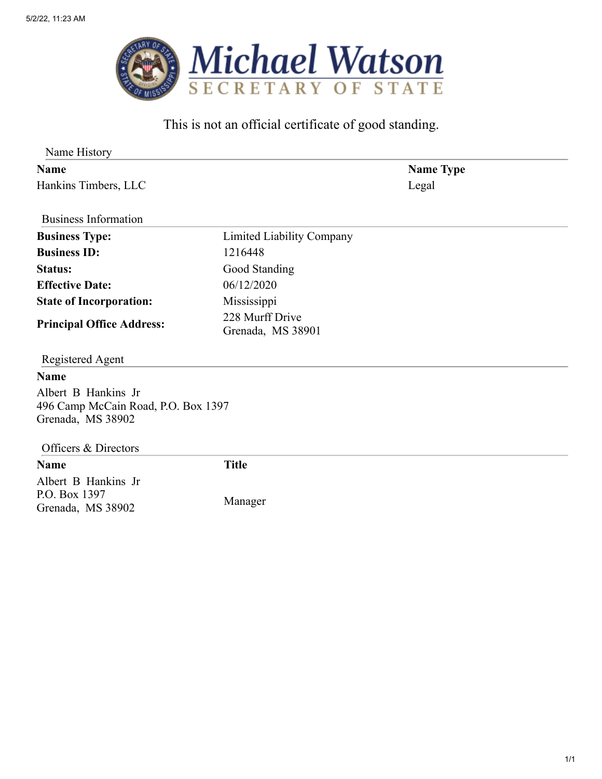

## This is not an official certificate of good standing.

| Name History                                              |                                      |       |  |
|-----------------------------------------------------------|--------------------------------------|-------|--|
| <b>Name</b>                                               | <b>Name Type</b>                     |       |  |
| Hankins Timbers, LLC                                      |                                      | Legal |  |
| <b>Business Information</b>                               |                                      |       |  |
| <b>Business Type:</b>                                     | Limited Liability Company            |       |  |
| <b>Business ID:</b>                                       | 1216448                              |       |  |
| <b>Status:</b>                                            | Good Standing                        |       |  |
| <b>Effective Date:</b>                                    | 06/12/2020                           |       |  |
| <b>State of Incorporation:</b>                            | Mississippi                          |       |  |
| <b>Principal Office Address:</b>                          | 228 Murff Drive<br>Grenada, MS 38901 |       |  |
| Registered Agent                                          |                                      |       |  |
| <b>Name</b>                                               |                                      |       |  |
| Albert B Hankins Jr                                       |                                      |       |  |
| 496 Camp McCain Road, P.O. Box 1397<br>Grenada, MS 38902  |                                      |       |  |
| Officers & Directors                                      |                                      |       |  |
| <b>Name</b>                                               | <b>Title</b>                         |       |  |
| Albert B Hankins Jr<br>P.O. Box 1397<br>Grenada, MS 38902 | Manager                              |       |  |